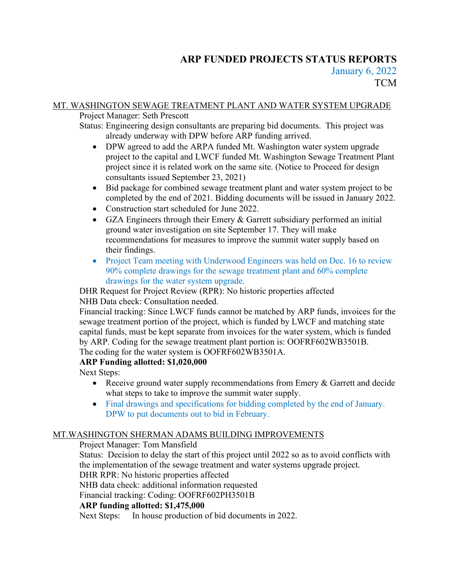# **ARP FUNDED PROJECTS STATUS REPORTS** January 6, 2022

**TCM** 

## MT. WASHINGTON SEWAGE TREATMENT PLANT AND WATER SYSTEM UPGRADE

Project Manager: Seth Prescott

Status: Engineering design consultants are preparing bid documents. This project was already underway with DPW before ARP funding arrived.

- DPW agreed to add the ARPA funded Mt. Washington water system upgrade project to the capital and LWCF funded Mt. Washington Sewage Treatment Plant project since it is related work on the same site. (Notice to Proceed for design consultants issued September 23, 2021)
- Bid package for combined sewage treatment plant and water system project to be completed by the end of 2021. Bidding documents will be issued in January 2022.
- Construction start scheduled for June 2022.
- GZA Engineers through their Emery & Garrett subsidiary performed an initial ground water investigation on site September 17. They will make recommendations for measures to improve the summit water supply based on their findings.
- Project Team meeting with Underwood Engineers was held on Dec. 16 to review 90% complete drawings for the sewage treatment plant and 60% complete drawings for the water system upgrade.

DHR Request for Project Review (RPR): No historic properties affected NHB Data check: Consultation needed.

Financial tracking: Since LWCF funds cannot be matched by ARP funds, invoices for the sewage treatment portion of the project, which is funded by LWCF and matching state capital funds, must be kept separate from invoices for the water system, which is funded by ARP. Coding for the sewage treatment plant portion is: OOFRF602WB3501B. The coding for the water system is OOFRF602WB3501A.

# **ARP Funding allotted: \$1,020,000**

Next Steps:

- Receive ground water supply recommendations from Emery & Garrett and decide what steps to take to improve the summit water supply.
- Final drawings and specifications for bidding completed by the end of January. DPW to put documents out to bid in February.

# MT.WASHINGTON SHERMAN ADAMS BUILDING IMPROVEMENTS

Project Manager: Tom Mansfield

Status: Decision to delay the start of this project until 2022 so as to avoid conflicts with the implementation of the sewage treatment and water systems upgrade project.

DHR RPR: No historic properties affected

NHB data check: additional information requested

Financial tracking: Coding: OOFRF602PH3501B

# **ARP funding allotted: \$1,475,000**

Next Steps: In house production of bid documents in 2022.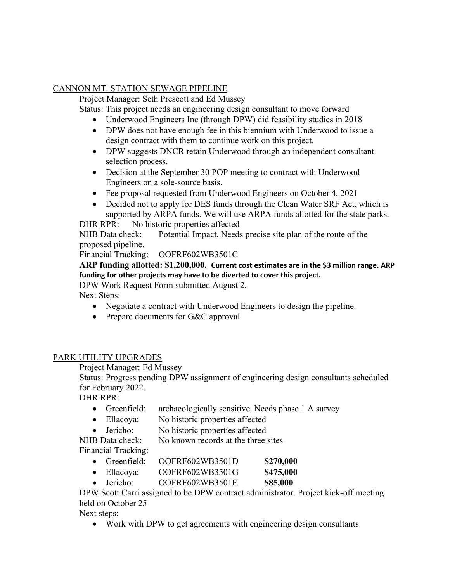## CANNON MT. STATION SEWAGE PIPELINE

Project Manager: Seth Prescott and Ed Mussey

Status: This project needs an engineering design consultant to move forward

- Underwood Engineers Inc (through DPW) did feasibility studies in 2018
- DPW does not have enough fee in this biennium with Underwood to issue a design contract with them to continue work on this project.
- DPW suggests DNCR retain Underwood through an independent consultant selection process.
- Decision at the September 30 POP meeting to contract with Underwood Engineers on a sole-source basis.
- Fee proposal requested from Underwood Engineers on October 4, 2021
- Decided not to apply for DES funds through the Clean Water SRF Act, which is supported by ARPA funds. We will use ARPA funds allotted for the state parks.

DHR RPR: No historic properties affected

NHB Data check: Potential Impact. Needs precise site plan of the route of the proposed pipeline.

Financial Tracking: OOFRF602WB3501C

## **ARP funding allotted: \$1,200,000. Current cost estimates are in the \$3 million range. ARP funding for other projects may have to be diverted to cover this project.**

DPW Work Request Form submitted August 2.

Next Steps:

- Negotiate a contract with Underwood Engineers to design the pipeline.
- Prepare documents for G&C approval.

# PARK UTILITY UPGRADES

Project Manager: Ed Mussey

Status: Progress pending DPW assignment of engineering design consultants scheduled for February 2022.

DHR RPR:

- Greenfield: archaeologically sensitive. Needs phase 1 A survey
- Ellacoya: No historic properties affected
- Jericho: No historic properties affected

NHB Data check: No known records at the three sites

Financial Tracking:

- Greenfield: OOFRF602WB3501D **\$270,000**
- Ellacoya: OOFRF602WB3501G **\$475,000**
- Jericho: OOFRF602WB3501E **\$85,000**

DPW Scott Carri assigned to be DPW contract administrator. Project kick-off meeting held on October 25

Next steps:

• Work with DPW to get agreements with engineering design consultants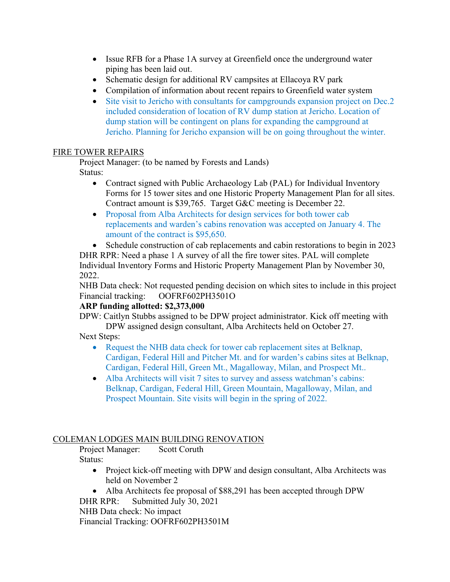- Issue RFB for a Phase 1A survey at Greenfield once the underground water piping has been laid out.
- Schematic design for additional RV campsites at Ellacoya RV park
- Compilation of information about recent repairs to Greenfield water system
- Site visit to Jericho with consultants for campgrounds expansion project on Dec.2 included consideration of location of RV dump station at Jericho. Location of dump station will be contingent on plans for expanding the campground at Jericho. Planning for Jericho expansion will be on going throughout the winter.

## FIRE TOWER REPAIRS

Project Manager: (to be named by Forests and Lands) Status:

- Contract signed with Public Archaeology Lab (PAL) for Individual Inventory Forms for 15 tower sites and one Historic Property Management Plan for all sites. Contract amount is \$39,765. Target G&C meeting is December 22.
- Proposal from Alba Architects for design services for both tower cab replacements and warden's cabins renovation was accepted on January 4. The amount of the contract is \$95,650.
- Schedule construction of cab replacements and cabin restorations to begin in 2023 DHR RPR: Need a phase 1 A survey of all the fire tower sites. PAL will complete

Individual Inventory Forms and Historic Property Management Plan by November 30, 2022.

NHB Data check: Not requested pending decision on which sites to include in this project Financial tracking: OOFRF602PH3501O

### **ARP funding allotted: \$2,373,000**

DPW: Caitlyn Stubbs assigned to be DPW project administrator. Kick off meeting with DPW assigned design consultant, Alba Architects held on October 27.

Next Steps:

- Request the NHB data check for tower cab replacement sites at Belknap, Cardigan, Federal Hill and Pitcher Mt. and for warden's cabins sites at Belknap, Cardigan, Federal Hill, Green Mt., Magalloway, Milan, and Prospect Mt..
- Alba Architects will visit 7 sites to survey and assess watchman's cabins: Belknap, Cardigan, Federal Hill, Green Mountain, Magalloway, Milan, and Prospect Mountain. Site visits will begin in the spring of 2022.

# COLEMAN LODGES MAIN BUILDING RENOVATION

Project Manager: Scott Coruth Status:

- Project kick-off meeting with DPW and design consultant, Alba Architects was held on November 2
- Alba Architects fee proposal of \$88,291 has been accepted through DPW

DHR RPR: Submitted July 30, 2021

NHB Data check: No impact

Financial Tracking: OOFRF602PH3501M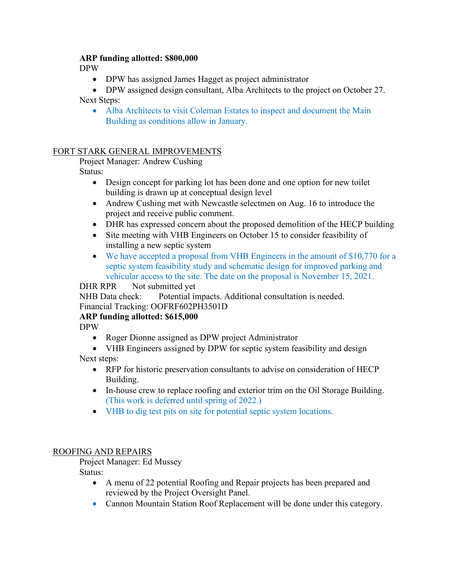### **ARP funding allotted: \$800,000**

DPW

• DPW has assigned James Hagget as project administrator

• DPW assigned design consultant, Alba Architects to the project on October 27. Next Steps:

• Alba Architects to visit Coleman Estates to inspect and document the Main Building as conditions allow in January.

## FORT STARK GENERAL IMPROVEMENTS

Project Manager: Andrew Cushing

Status:

- Design concept for parking lot has been done and one option for new toilet building is drawn up at conceptual design level
- Andrew Cushing met with Newcastle selectmen on Aug. 16 to introduce the project and receive public comment.
- DHR has expressed concern about the proposed demolition of the HECP building
- Site meeting with VHB Engineers on October 15 to consider feasibility of installing a new septic system
- We have accepted a proposal from VHB Engineers in the amount of \$10,770 for a septic system feasibility study and schematic design for improved parking and vehicular access to the site. The date on the proposal is November 15, 2021.

## DHR RPR Not submitted yet

NHB Data check: Potential impacts. Additional consultation is needed. Financial Tracking: OOFRF602PH3501D

### **ARP funding allotted: \$615,000**

DPW

- Roger Dionne assigned as DPW project Administrator
- VHB Engineers assigned by DPW for septic system feasibility and design

Next steps:

- RFP for historic preservation consultants to advise on consideration of HECP Building.
- In-house crew to replace roofing and exterior trim on the Oil Storage Building. (This work is deferred until spring of 2022.)
- VHB to dig test pits on site for potential septic system locations.

### ROOFING AND REPAIRS

Project Manager: Ed Mussey

Status:

- A menu of 22 potential Roofing and Repair projects has been prepared and reviewed by the Project Oversight Panel.
- Cannon Mountain Station Roof Replacement will be done under this category.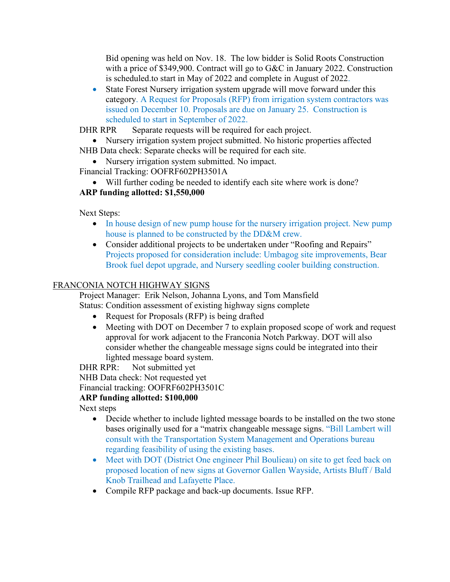Bid opening was held on Nov. 18. The low bidder is Solid Roots Construction with a price of \$349,900. Contract will go to G&C in January 2022. Construction is scheduled.to start in May of 2022 and complete in August of 2022.

• State Forest Nursery irrigation system upgrade will move forward under this category. A Request for Proposals (RFP) from irrigation system contractors was issued on December 10. Proposals are due on January 25. Construction is scheduled to start in September of 2022.

DHR RPR Separate requests will be required for each project.

- Nursery irrigation system project submitted. No historic properties affected NHB Data check: Separate checks will be required for each site.
	- Nursery irrigation system submitted. No impact.

Financial Tracking: OOFRF602PH3501A

• Will further coding be needed to identify each site where work is done?

# **ARP funding allotted: \$1,550,000**

Next Steps:

- In house design of new pump house for the nursery irrigation project. New pump house is planned to be constructed by the DD&M crew.
- Consider additional projects to be undertaken under "Roofing and Repairs" Projects proposed for consideration include: Umbagog site improvements, Bear Brook fuel depot upgrade, and Nursery seedling cooler building construction.

# FRANCONIA NOTCH HIGHWAY SIGNS

Project Manager: Erik Nelson, Johanna Lyons, and Tom Mansfield Status: Condition assessment of existing highway signs complete

- Request for Proposals (RFP) is being drafted
- Meeting with DOT on December 7 to explain proposed scope of work and request approval for work adjacent to the Franconia Notch Parkway. DOT will also consider whether the changeable message signs could be integrated into their lighted message board system.

DHR RPR: Not submitted yet

NHB Data check: Not requested yet

Financial tracking: OOFRF602PH3501C

# **ARP funding allotted: \$100,000**

Next steps

- Decide whether to include lighted message boards to be installed on the two stone bases originally used for a "matrix changeable message signs. "Bill Lambert will consult with the Transportation System Management and Operations bureau regarding feasibility of using the existing bases.
- Meet with DOT (District One engineer Phil Boulieau) on site to get feed back on proposed location of new signs at Governor Gallen Wayside, Artists Bluff / Bald Knob Trailhead and Lafayette Place.
- Compile RFP package and back-up documents. Issue RFP.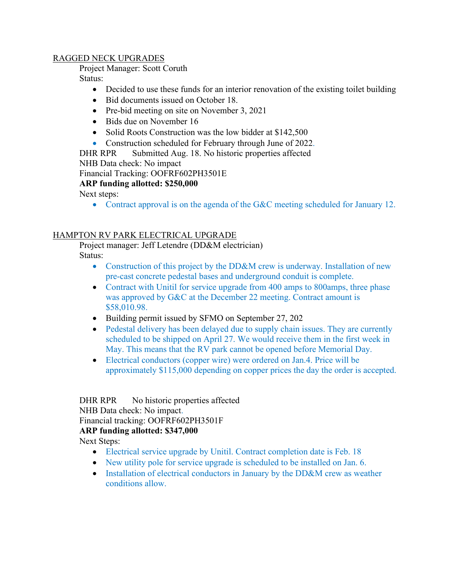#### RAGGED NECK UPGRADES

Project Manager: Scott Coruth

Status:

- Decided to use these funds for an interior renovation of the existing toilet building
- Bid documents issued on October 18.
- Pre-bid meeting on site on November 3, 2021
- Bids due on November 16
- Solid Roots Construction was the low bidder at \$142,500
- Construction scheduled for February through June of 2022.
- DHR RPR Submitted Aug. 18. No historic properties affected

NHB Data check: No impact

Financial Tracking: OOFRF602PH3501E

### **ARP funding allotted: \$250,000**

Next steps:

• Contract approval is on the agenda of the G&C meeting scheduled for January 12.

### HAMPTON RV PARK ELECTRICAL UPGRADE

Project manager: Jeff Letendre (DD&M electrician)

Status:

- Construction of this project by the DD&M crew is underway. Installation of new pre-cast concrete pedestal bases and underground conduit is complete.
- Contract with Unitil for service upgrade from 400 amps to 800 amps, three phase was approved by G&C at the December 22 meeting. Contract amount is \$58,010.98.
- Building permit issued by SFMO on September 27, 202
- Pedestal delivery has been delayed due to supply chain issues. They are currently scheduled to be shipped on April 27. We would receive them in the first week in May. This means that the RV park cannot be opened before Memorial Day.
- Electrical conductors (copper wire) were ordered on Jan.4. Price will be approximately \$115,000 depending on copper prices the day the order is accepted.

DHR RPR No historic properties affected NHB Data check: No impact. Financial tracking: OOFRF602PH3501F **ARP funding allotted: \$347,000**

Next Steps:

- Electrical service upgrade by Unitil. Contract completion date is Feb. 18
- New utility pole for service upgrade is scheduled to be installed on Jan. 6.
- Installation of electrical conductors in January by the DD&M crew as weather conditions allow.